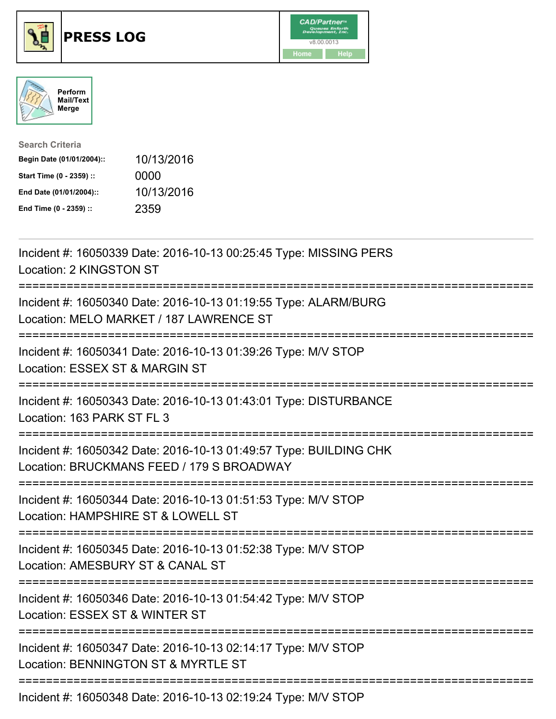





| <b>Search Criteria</b>    |            |
|---------------------------|------------|
| Begin Date (01/01/2004):: | 10/13/2016 |
| Start Time (0 - 2359) ::  | 0000       |
| End Date (01/01/2004)::   | 10/13/2016 |
| End Time (0 - 2359) ::    | 2359       |

| Incident #: 16050339 Date: 2016-10-13 00:25:45 Type: MISSING PERS<br>Location: 2 KINGSTON ST                                         |
|--------------------------------------------------------------------------------------------------------------------------------------|
| Incident #: 16050340 Date: 2016-10-13 01:19:55 Type: ALARM/BURG<br>Location: MELO MARKET / 187 LAWRENCE ST                           |
| Incident #: 16050341 Date: 2016-10-13 01:39:26 Type: M/V STOP<br>Location: ESSEX ST & MARGIN ST                                      |
| Incident #: 16050343 Date: 2016-10-13 01:43:01 Type: DISTURBANCE<br>Location: 163 PARK ST FL 3                                       |
| Incident #: 16050342 Date: 2016-10-13 01:49:57 Type: BUILDING CHK<br>Location: BRUCKMANS FEED / 179 S BROADWAY                       |
| Incident #: 16050344 Date: 2016-10-13 01:51:53 Type: M/V STOP<br>Location: HAMPSHIRE ST & LOWELL ST<br>:============================ |
| Incident #: 16050345 Date: 2016-10-13 01:52:38 Type: M/V STOP<br>Location: AMESBURY ST & CANAL ST                                    |
| Incident #: 16050346 Date: 2016-10-13 01:54:42 Type: M/V STOP<br>Location: ESSEX ST & WINTER ST<br>:=======================          |
| Incident #: 16050347 Date: 2016-10-13 02:14:17 Type: M/V STOP<br>Location: BENNINGTON ST & MYRTLE ST                                 |
| Incident #: 16050348 Date: 2016-10-13 02:19:24 Type: M/V STOP                                                                        |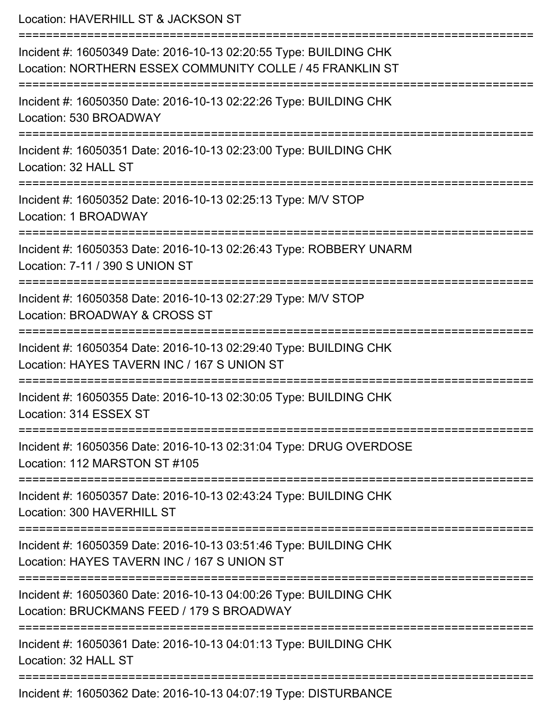Location: HAVERHILL ST & JACKSON ST =========================================================================== Incident #: 16050349 Date: 2016-10-13 02:20:55 Type: BUILDING CHK Location: NORTHERN ESSEX COMMUNITY COLLE / 45 FRANKLIN ST =========================================================================== Incident #: 16050350 Date: 2016-10-13 02:22:26 Type: BUILDING CHK Location: 530 BROADWAY =========================================================================== Incident #: 16050351 Date: 2016-10-13 02:23:00 Type: BUILDING CHK Location: 32 HALL ST =========================================================================== Incident #: 16050352 Date: 2016-10-13 02:25:13 Type: M/V STOP Location: 1 BROADWAY =========================================================================== Incident #: 16050353 Date: 2016-10-13 02:26:43 Type: ROBBERY UNARM Location: 7-11 / 390 S UNION ST =========================================================================== Incident #: 16050358 Date: 2016-10-13 02:27:29 Type: M/V STOP Location: BROADWAY & CROSS ST =========================================================================== Incident #: 16050354 Date: 2016-10-13 02:29:40 Type: BUILDING CHK Location: HAYES TAVERN INC / 167 S UNION ST =========================================================================== Incident #: 16050355 Date: 2016-10-13 02:30:05 Type: BUILDING CHK Location: 314 ESSEX ST =========================================================================== Incident #: 16050356 Date: 2016-10-13 02:31:04 Type: DRUG OVERDOSE Location: 112 MARSTON ST #105 =========================================================================== Incident #: 16050357 Date: 2016-10-13 02:43:24 Type: BUILDING CHK Location: 300 HAVERHILL ST =========================================================================== Incident #: 16050359 Date: 2016-10-13 03:51:46 Type: BUILDING CHK Location: HAYES TAVERN INC / 167 S UNION ST =========================================================================== Incident #: 16050360 Date: 2016-10-13 04:00:26 Type: BUILDING CHK Location: BRUCKMANS FEED / 179 S BROADWAY =========================================================================== Incident #: 16050361 Date: 2016-10-13 04:01:13 Type: BUILDING CHK Location: 32 HALL ST =========================================================================== Incident #: 16050362 Date: 2016-10-13 04:07:19 Type: DISTURBANCE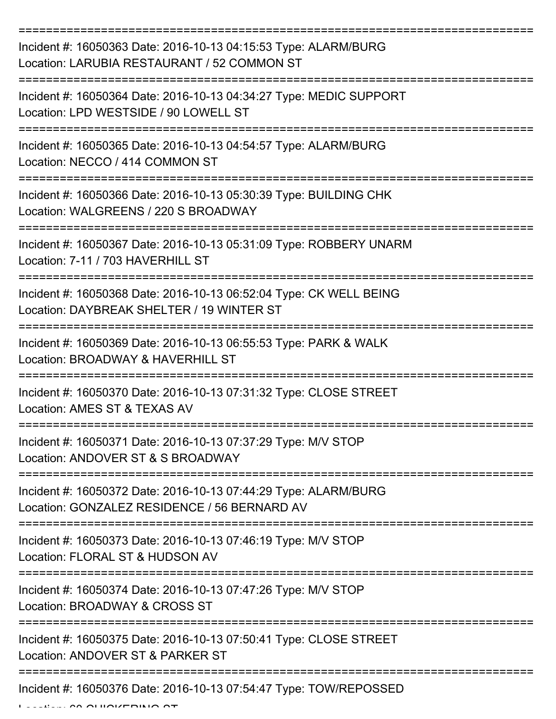| Incident #: 16050363 Date: 2016-10-13 04:15:53 Type: ALARM/BURG<br>Location: LARUBIA RESTAURANT / 52 COMMON ST                       |
|--------------------------------------------------------------------------------------------------------------------------------------|
| Incident #: 16050364 Date: 2016-10-13 04:34:27 Type: MEDIC SUPPORT<br>Location: LPD WESTSIDE / 90 LOWELL ST                          |
| Incident #: 16050365 Date: 2016-10-13 04:54:57 Type: ALARM/BURG<br>Location: NECCO / 414 COMMON ST                                   |
| Incident #: 16050366 Date: 2016-10-13 05:30:39 Type: BUILDING CHK<br>Location: WALGREENS / 220 S BROADWAY                            |
| Incident #: 16050367 Date: 2016-10-13 05:31:09 Type: ROBBERY UNARM<br>Location: 7-11 / 703 HAVERHILL ST                              |
| :================<br>Incident #: 16050368 Date: 2016-10-13 06:52:04 Type: CK WELL BEING<br>Location: DAYBREAK SHELTER / 19 WINTER ST |
| Incident #: 16050369 Date: 2016-10-13 06:55:53 Type: PARK & WALK<br>Location: BROADWAY & HAVERHILL ST                                |
| Incident #: 16050370 Date: 2016-10-13 07:31:32 Type: CLOSE STREET<br>Location: AMES ST & TEXAS AV                                    |
| Incident #: 16050371 Date: 2016-10-13 07:37:29 Type: M/V STOP<br>Location: ANDOVER ST & S BROADWAY                                   |
| Incident #: 16050372 Date: 2016-10-13 07:44:29 Type: ALARM/BURG<br>Location: GONZALEZ RESIDENCE / 56 BERNARD AV                      |
| Incident #: 16050373 Date: 2016-10-13 07:46:19 Type: M/V STOP<br>Location: FLORAL ST & HUDSON AV                                     |
| Incident #: 16050374 Date: 2016-10-13 07:47:26 Type: M/V STOP<br>Location: BROADWAY & CROSS ST                                       |
| Incident #: 16050375 Date: 2016-10-13 07:50:41 Type: CLOSE STREET<br>Location: ANDOVER ST & PARKER ST                                |
| Incident #: 16050376 Date: 2016-10-13 07:54:47 Type: TOW/REPOSSED                                                                    |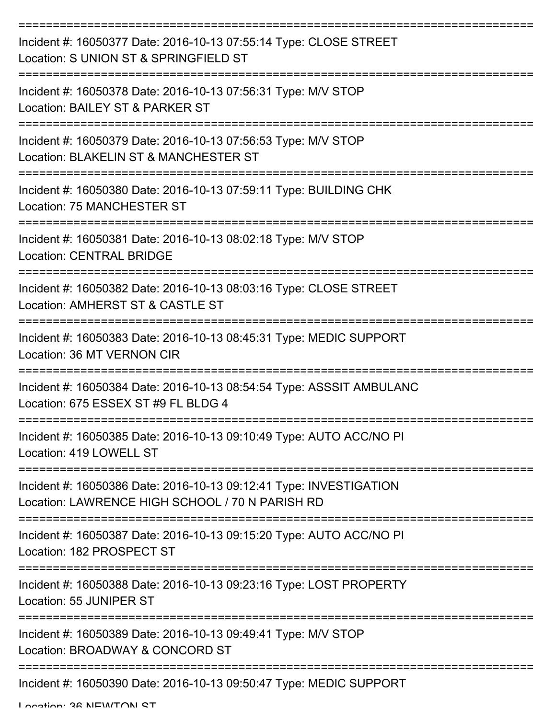| Incident #: 16050377 Date: 2016-10-13 07:55:14 Type: CLOSE STREET<br>Location: S UNION ST & SPRINGFIELD ST            |
|-----------------------------------------------------------------------------------------------------------------------|
| Incident #: 16050378 Date: 2016-10-13 07:56:31 Type: M/V STOP<br>Location: BAILEY ST & PARKER ST                      |
| Incident #: 16050379 Date: 2016-10-13 07:56:53 Type: M/V STOP<br>Location: BLAKELIN ST & MANCHESTER ST                |
| Incident #: 16050380 Date: 2016-10-13 07:59:11 Type: BUILDING CHK<br>Location: 75 MANCHESTER ST                       |
| Incident #: 16050381 Date: 2016-10-13 08:02:18 Type: M/V STOP<br><b>Location: CENTRAL BRIDGE</b>                      |
| Incident #: 16050382 Date: 2016-10-13 08:03:16 Type: CLOSE STREET<br>Location: AMHERST ST & CASTLE ST                 |
| Incident #: 16050383 Date: 2016-10-13 08:45:31 Type: MEDIC SUPPORT<br>Location: 36 MT VERNON CIR                      |
| Incident #: 16050384 Date: 2016-10-13 08:54:54 Type: ASSSIT AMBULANC<br>Location: 675 ESSEX ST #9 FL BLDG 4           |
| Incident #: 16050385 Date: 2016-10-13 09:10:49 Type: AUTO ACC/NO PI<br>Location: 419 LOWELL ST                        |
| Incident #: 16050386 Date: 2016-10-13 09:12:41 Type: INVESTIGATION<br>Location: LAWRENCE HIGH SCHOOL / 70 N PARISH RD |
| Incident #: 16050387 Date: 2016-10-13 09:15:20 Type: AUTO ACC/NO PI<br>Location: 182 PROSPECT ST                      |
| Incident #: 16050388 Date: 2016-10-13 09:23:16 Type: LOST PROPERTY<br>Location: 55 JUNIPER ST                         |
| Incident #: 16050389 Date: 2016-10-13 09:49:41 Type: M/V STOP<br>Location: BROADWAY & CONCORD ST                      |
| Incident #: 16050390 Date: 2016-10-13 09:50:47 Type: MEDIC SUPPORT                                                    |

Location: 26 NEWTON ST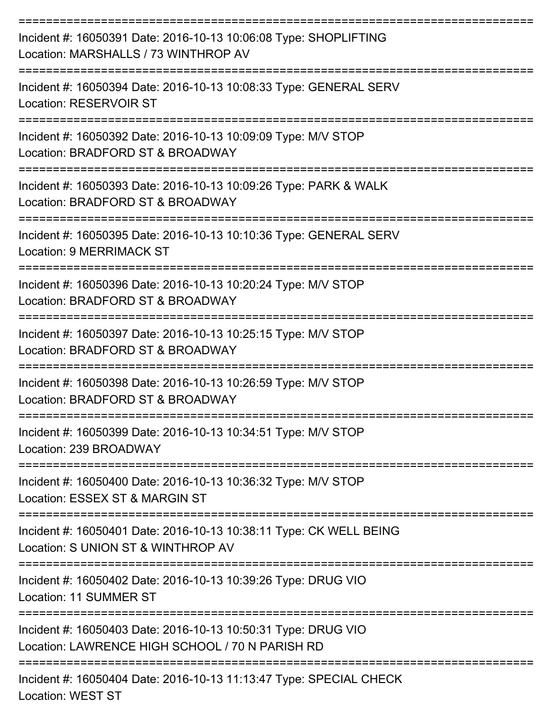| Incident #: 16050391 Date: 2016-10-13 10:06:08 Type: SHOPLIFTING<br>Location: MARSHALLS / 73 WINTHROP AV         |
|------------------------------------------------------------------------------------------------------------------|
| Incident #: 16050394 Date: 2016-10-13 10:08:33 Type: GENERAL SERV<br><b>Location: RESERVOIR ST</b>               |
| Incident #: 16050392 Date: 2016-10-13 10:09:09 Type: M/V STOP<br>Location: BRADFORD ST & BROADWAY                |
| Incident #: 16050393 Date: 2016-10-13 10:09:26 Type: PARK & WALK<br>Location: BRADFORD ST & BROADWAY             |
| Incident #: 16050395 Date: 2016-10-13 10:10:36 Type: GENERAL SERV<br><b>Location: 9 MERRIMACK ST</b>             |
| Incident #: 16050396 Date: 2016-10-13 10:20:24 Type: M/V STOP<br>Location: BRADFORD ST & BROADWAY                |
| Incident #: 16050397 Date: 2016-10-13 10:25:15 Type: M/V STOP<br>Location: BRADFORD ST & BROADWAY                |
| Incident #: 16050398 Date: 2016-10-13 10:26:59 Type: M/V STOP<br>Location: BRADFORD ST & BROADWAY                |
| Incident #: 16050399 Date: 2016-10-13 10:34:51 Type: M/V STOP<br>Location: 239 BROADWAY                          |
| Incident #: 16050400 Date: 2016-10-13 10:36:32 Type: M/V STOP<br>Location: ESSEX ST & MARGIN ST                  |
| Incident #: 16050401 Date: 2016-10-13 10:38:11 Type: CK WELL BEING<br>Location: S UNION ST & WINTHROP AV         |
| Incident #: 16050402 Date: 2016-10-13 10:39:26 Type: DRUG VIO<br>Location: 11 SUMMER ST                          |
| Incident #: 16050403 Date: 2016-10-13 10:50:31 Type: DRUG VIO<br>Location: LAWRENCE HIGH SCHOOL / 70 N PARISH RD |
| Incident #: 16050404 Date: 2016-10-13 11:13:47 Type: SPECIAL CHECK<br><b>Location: WEST ST</b>                   |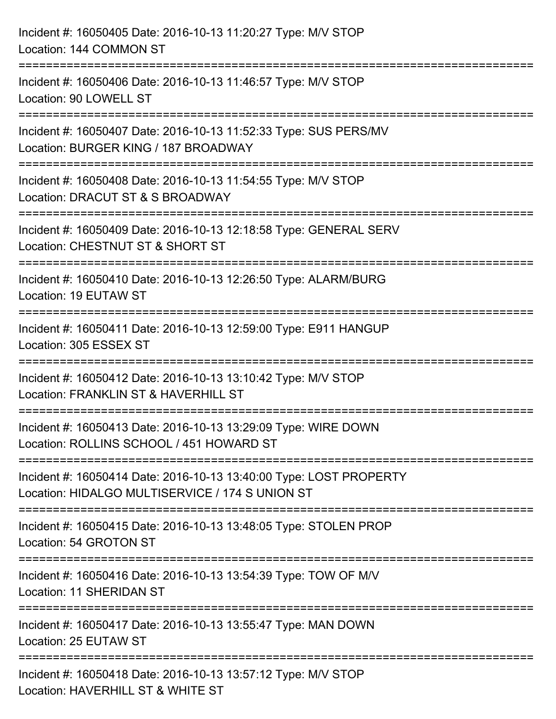| Incident #: 16050405 Date: 2016-10-13 11:20:27 Type: M/V STOP<br>Location: 144 COMMON ST                                                       |
|------------------------------------------------------------------------------------------------------------------------------------------------|
| =============================<br>Incident #: 16050406 Date: 2016-10-13 11:46:57 Type: M/V STOP<br>Location: 90 LOWELL ST<br>------------------ |
| Incident #: 16050407 Date: 2016-10-13 11:52:33 Type: SUS PERS/MV<br>Location: BURGER KING / 187 BROADWAY                                       |
| Incident #: 16050408 Date: 2016-10-13 11:54:55 Type: M/V STOP<br>Location: DRACUT ST & S BROADWAY<br>=========================                 |
| Incident #: 16050409 Date: 2016-10-13 12:18:58 Type: GENERAL SERV<br>Location: CHESTNUT ST & SHORT ST                                          |
| Incident #: 16050410 Date: 2016-10-13 12:26:50 Type: ALARM/BURG<br>Location: 19 EUTAW ST                                                       |
| Incident #: 16050411 Date: 2016-10-13 12:59:00 Type: E911 HANGUP<br>Location: 305 ESSEX ST                                                     |
| Incident #: 16050412 Date: 2016-10-13 13:10:42 Type: M/V STOP<br>Location: FRANKLIN ST & HAVERHILL ST                                          |
| Incident #: 16050413 Date: 2016-10-13 13:29:09 Type: WIRE DOWN<br>Location: ROLLINS SCHOOL / 451 HOWARD ST                                     |
| Incident #: 16050414 Date: 2016-10-13 13:40:00 Type: LOST PROPERTY<br>Location: HIDALGO MULTISERVICE / 174 S UNION ST                          |
| Incident #: 16050415 Date: 2016-10-13 13:48:05 Type: STOLEN PROP<br>Location: 54 GROTON ST                                                     |
| Incident #: 16050416 Date: 2016-10-13 13:54:39 Type: TOW OF M/V<br>Location: 11 SHERIDAN ST                                                    |
| Incident #: 16050417 Date: 2016-10-13 13:55:47 Type: MAN DOWN<br>Location: 25 EUTAW ST                                                         |
| Incident #: 16050418 Date: 2016-10-13 13:57:12 Type: M/V STOP<br>Location: HAVERHILL ST & WHITE ST                                             |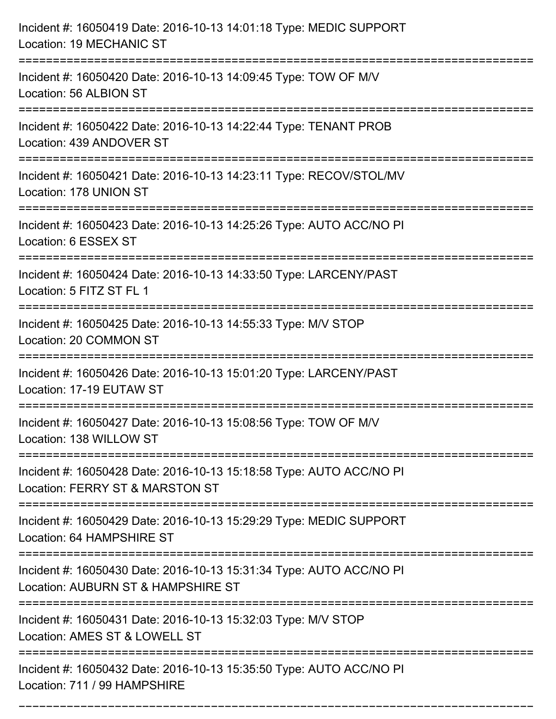| Incident #: 16050419 Date: 2016-10-13 14:01:18 Type: MEDIC SUPPORT<br>Location: 19 MECHANIC ST            |
|-----------------------------------------------------------------------------------------------------------|
| Incident #: 16050420 Date: 2016-10-13 14:09:45 Type: TOW OF M/V<br>Location: 56 ALBION ST                 |
| Incident #: 16050422 Date: 2016-10-13 14:22:44 Type: TENANT PROB<br>Location: 439 ANDOVER ST              |
| Incident #: 16050421 Date: 2016-10-13 14:23:11 Type: RECOV/STOL/MV<br>Location: 178 UNION ST              |
| Incident #: 16050423 Date: 2016-10-13 14:25:26 Type: AUTO ACC/NO PI<br>Location: 6 ESSEX ST               |
| Incident #: 16050424 Date: 2016-10-13 14:33:50 Type: LARCENY/PAST<br>Location: 5 FITZ ST FL 1             |
| Incident #: 16050425 Date: 2016-10-13 14:55:33 Type: M/V STOP<br>Location: 20 COMMON ST                   |
| Incident #: 16050426 Date: 2016-10-13 15:01:20 Type: LARCENY/PAST<br>Location: 17-19 EUTAW ST             |
| Incident #: 16050427 Date: 2016-10-13 15:08:56 Type: TOW OF M/V<br>Location: 138 WILLOW ST                |
| Incident #: 16050428 Date: 2016-10-13 15:18:58 Type: AUTO ACC/NO PI<br>Location: FERRY ST & MARSTON ST    |
| Incident #: 16050429 Date: 2016-10-13 15:29:29 Type: MEDIC SUPPORT<br>Location: 64 HAMPSHIRE ST           |
| Incident #: 16050430 Date: 2016-10-13 15:31:34 Type: AUTO ACC/NO PI<br>Location: AUBURN ST & HAMPSHIRE ST |
| Incident #: 16050431 Date: 2016-10-13 15:32:03 Type: M/V STOP<br>Location: AMES ST & LOWELL ST            |
| Incident #: 16050432 Date: 2016-10-13 15:35:50 Type: AUTO ACC/NO PI<br>Location: 711 / 99 HAMPSHIRE       |

===========================================================================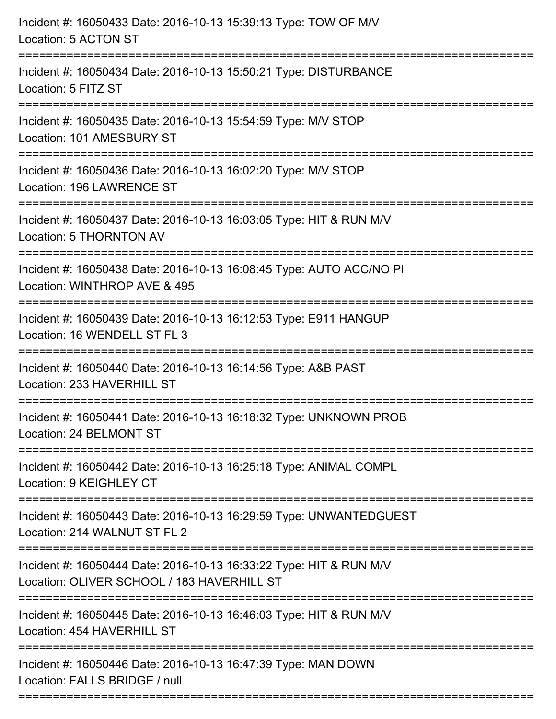| Incident #: 16050433 Date: 2016-10-13 15:39:13 Type: TOW OF M/V<br>Location: 5 ACTON ST                                     |
|-----------------------------------------------------------------------------------------------------------------------------|
| :==================<br>Incident #: 16050434 Date: 2016-10-13 15:50:21 Type: DISTURBANCE<br>Location: 5 FITZ ST              |
| Incident #: 16050435 Date: 2016-10-13 15:54:59 Type: M/V STOP<br>Location: 101 AMESBURY ST<br>----------------------------- |
| Incident #: 16050436 Date: 2016-10-13 16:02:20 Type: M/V STOP<br>Location: 196 LAWRENCE ST                                  |
| Incident #: 16050437 Date: 2016-10-13 16:03:05 Type: HIT & RUN M/V<br>Location: 5 THORNTON AV                               |
| Incident #: 16050438 Date: 2016-10-13 16:08:45 Type: AUTO ACC/NO PI<br>Location: WINTHROP AVE & 495                         |
| Incident #: 16050439 Date: 2016-10-13 16:12:53 Type: E911 HANGUP<br>Location: 16 WENDELL ST FL 3                            |
| Incident #: 16050440 Date: 2016-10-13 16:14:56 Type: A&B PAST<br>Location: 233 HAVERHILL ST                                 |
| Incident #: 16050441 Date: 2016-10-13 16:18:32 Type: UNKNOWN PROB<br>Location: 24 BELMONT ST                                |
| Incident #: 16050442 Date: 2016-10-13 16:25:18 Type: ANIMAL COMPL<br>Location: 9 KEIGHLEY CT                                |
| Incident #: 16050443 Date: 2016-10-13 16:29:59 Type: UNWANTEDGUEST<br>Location: 214 WALNUT ST FL 2                          |
| Incident #: 16050444 Date: 2016-10-13 16:33:22 Type: HIT & RUN M/V<br>Location: OLIVER SCHOOL / 183 HAVERHILL ST            |
| Incident #: 16050445 Date: 2016-10-13 16:46:03 Type: HIT & RUN M/V<br>Location: 454 HAVERHILL ST                            |
| Incident #: 16050446 Date: 2016-10-13 16:47:39 Type: MAN DOWN<br>Location: FALLS BRIDGE / null                              |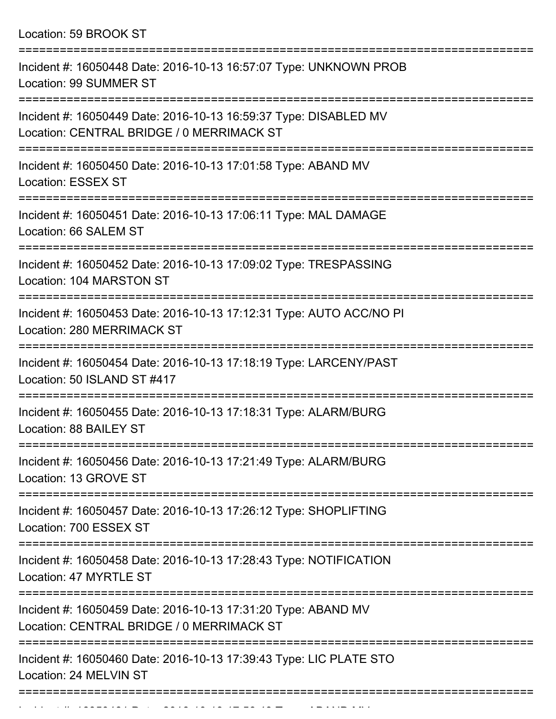Location: 59 BROOK ST ===========================================================================

| Incident #: 16050448 Date: 2016-10-13 16:57:07 Type: UNKNOWN PROB<br>Location: 99 SUMMER ST                                                    |
|------------------------------------------------------------------------------------------------------------------------------------------------|
| Incident #: 16050449 Date: 2016-10-13 16:59:37 Type: DISABLED MV<br>Location: CENTRAL BRIDGE / 0 MERRIMACK ST<br>==================            |
| Incident #: 16050450 Date: 2016-10-13 17:01:58 Type: ABAND MV<br><b>Location: ESSEX ST</b>                                                     |
| Incident #: 16050451 Date: 2016-10-13 17:06:11 Type: MAL DAMAGE<br>Location: 66 SALEM ST                                                       |
| Incident #: 16050452 Date: 2016-10-13 17:09:02 Type: TRESPASSING<br>Location: 104 MARSTON ST                                                   |
| Incident #: 16050453 Date: 2016-10-13 17:12:31 Type: AUTO ACC/NO PI<br>Location: 280 MERRIMACK ST                                              |
| Incident #: 16050454 Date: 2016-10-13 17:18:19 Type: LARCENY/PAST<br>Location: 50 ISLAND ST #417                                               |
| Incident #: 16050455 Date: 2016-10-13 17:18:31 Type: ALARM/BURG<br>Location: 88 BAILEY ST                                                      |
| Incident #: 16050456 Date: 2016-10-13 17:21:49 Type: ALARM/BURG<br>Location: 13 GROVE ST                                                       |
| Incident #: 16050457 Date: 2016-10-13 17:26:12 Type: SHOPLIFTING<br>Location: 700 ESSEX ST                                                     |
| Incident #: 16050458 Date: 2016-10-13 17:28:43 Type: NOTIFICATION<br>Location: 47 MYRTLE ST                                                    |
| --------------------------------<br>Incident #: 16050459 Date: 2016-10-13 17:31:20 Type: ABAND MV<br>Location: CENTRAL BRIDGE / 0 MERRIMACK ST |
| Incident #: 16050460 Date: 2016-10-13 17:39:43 Type: LIC PLATE STO<br>Location: 24 MELVIN ST                                                   |

Incident #: 16050461 Date: 2016 10 13 17:56:49 Type: ABAND MV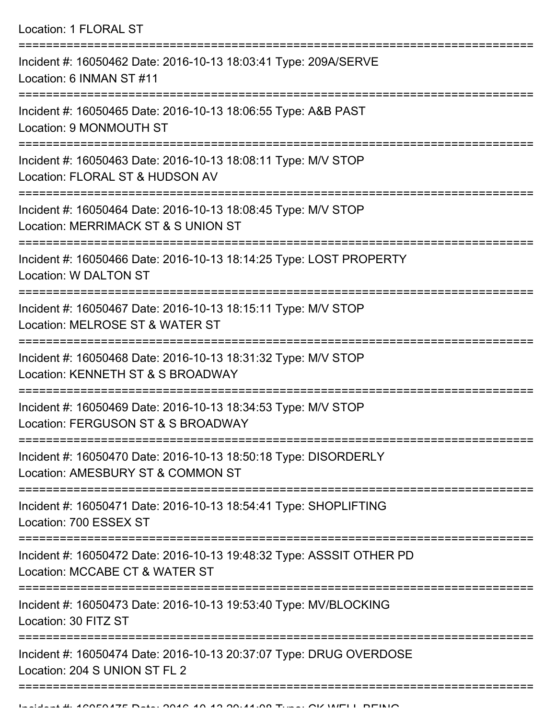| Location: 1 FLORAL ST                                                                                                                   |
|-----------------------------------------------------------------------------------------------------------------------------------------|
| Incident #: 16050462 Date: 2016-10-13 18:03:41 Type: 209A/SERVE<br>Location: 6 INMAN ST #11                                             |
| Incident #: 16050465 Date: 2016-10-13 18:06:55 Type: A&B PAST<br>Location: 9 MONMOUTH ST                                                |
| Incident #: 16050463 Date: 2016-10-13 18:08:11 Type: M/V STOP<br>Location: FLORAL ST & HUDSON AV<br>==================================  |
| Incident #: 16050464 Date: 2016-10-13 18:08:45 Type: M/V STOP<br>Location: MERRIMACK ST & S UNION ST                                    |
| Incident #: 16050466 Date: 2016-10-13 18:14:25 Type: LOST PROPERTY<br>Location: W DALTON ST                                             |
| Incident #: 16050467 Date: 2016-10-13 18:15:11 Type: M/V STOP<br>Location: MELROSE ST & WATER ST                                        |
| Incident #: 16050468 Date: 2016-10-13 18:31:32 Type: M/V STOP<br>Location: KENNETH ST & S BROADWAY                                      |
| Incident #: 16050469 Date: 2016-10-13 18:34:53 Type: M/V STOP<br>Location: FERGUSON ST & S BROADWAY                                     |
| Incident #: 16050470 Date: 2016-10-13 18:50:18 Type: DISORDERLY<br>Location: AMESBURY ST & COMMON ST                                    |
| Incident #: 16050471 Date: 2016-10-13 18:54:41 Type: SHOPLIFTING<br>Location: 700 ESSEX ST                                              |
| -----------------------------<br>Incident #: 16050472 Date: 2016-10-13 19:48:32 Type: ASSSIT OTHER PD<br>Location: MCCABE CT & WATER ST |
| Incident #: 16050473 Date: 2016-10-13 19:53:40 Type: MV/BLOCKING<br>Location: 30 FITZ ST                                                |
| Incident #: 16050474 Date: 2016-10-13 20:37:07 Type: DRUG OVERDOSE<br>Location: 204 S UNION ST FL 2                                     |
|                                                                                                                                         |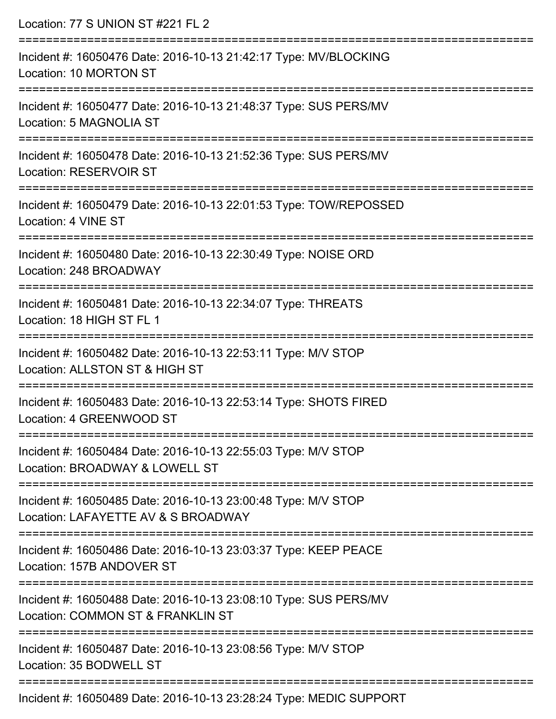| Location: 77 S UNION ST #221 FL 2                                                                                                  |
|------------------------------------------------------------------------------------------------------------------------------------|
| Incident #: 16050476 Date: 2016-10-13 21:42:17 Type: MV/BLOCKING<br>Location: 10 MORTON ST                                         |
| Incident #: 16050477 Date: 2016-10-13 21:48:37 Type: SUS PERS/MV<br>Location: 5 MAGNOLIA ST                                        |
| Incident #: 16050478 Date: 2016-10-13 21:52:36 Type: SUS PERS/MV<br><b>Location: RESERVOIR ST</b>                                  |
| Incident #: 16050479 Date: 2016-10-13 22:01:53 Type: TOW/REPOSSED<br>Location: 4 VINE ST                                           |
| Incident #: 16050480 Date: 2016-10-13 22:30:49 Type: NOISE ORD<br>Location: 248 BROADWAY                                           |
| Incident #: 16050481 Date: 2016-10-13 22:34:07 Type: THREATS<br>Location: 18 HIGH ST FL 1                                          |
| Incident #: 16050482 Date: 2016-10-13 22:53:11 Type: M/V STOP<br>Location: ALLSTON ST & HIGH ST                                    |
| Incident #: 16050483 Date: 2016-10-13 22:53:14 Type: SHOTS FIRED<br>Location: 4 GREENWOOD ST                                       |
| :==============================<br>Incident #: 16050484 Date: 2016-10-13 22:55:03 Type: M/V STOP<br>Location: BROADWAY & LOWELL ST |
| Incident #: 16050485 Date: 2016-10-13 23:00:48 Type: M/V STOP<br>Location: LAFAYETTE AV & S BROADWAY                               |
| Incident #: 16050486 Date: 2016-10-13 23:03:37 Type: KEEP PEACE<br>Location: 157B ANDOVER ST                                       |
| Incident #: 16050488 Date: 2016-10-13 23:08:10 Type: SUS PERS/MV<br>Location: COMMON ST & FRANKLIN ST                              |
| Incident #: 16050487 Date: 2016-10-13 23:08:56 Type: M/V STOP<br>Location: 35 BODWELL ST                                           |
| Incident #: 16050489 Date: 2016-10-13 23:28:24 Type: MEDIC SUPPORT                                                                 |